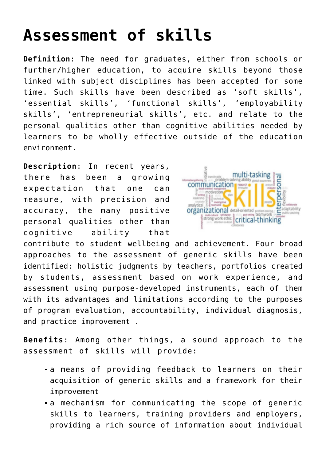## **[Assessment of skills](http://entreassess.com/2018/05/23/assessment-of-skills/)**

**Definition**: The need for graduates, either from schools or further/higher education, to acquire skills beyond those linked with subject disciplines has been accepted for some time. Such skills have been described as 'soft skills', 'essential skills', 'functional skills', 'employability skills', 'entrepreneurial skills', etc. and relate to the personal qualities other than cognitive abilities needed by learners to be wholly effective outside of the education environment.

**Description**: In recent years, there has been a growing expectation that one can measure, with precision and accuracy, the many positive personal qualities other than cognitive ability that



contribute to student wellbeing and achievement. Four broad approaches to the assessment of generic skills have been identified: holistic judgments by teachers, portfolios created by students, assessment based on work experience, and assessment using purpose-developed instruments, each of them with its advantages and limitations according to the purposes of program evaluation, accountability, individual diagnosis, and practice improvement .

**Benefits**: Among other things, a sound approach to the assessment of skills will provide:

- a means of providing feedback to learners on their acquisition of generic skills and a framework for their improvement
- a mechanism for communicating the scope of generic skills to learners, training providers and employers, providing a rich source of information about individual